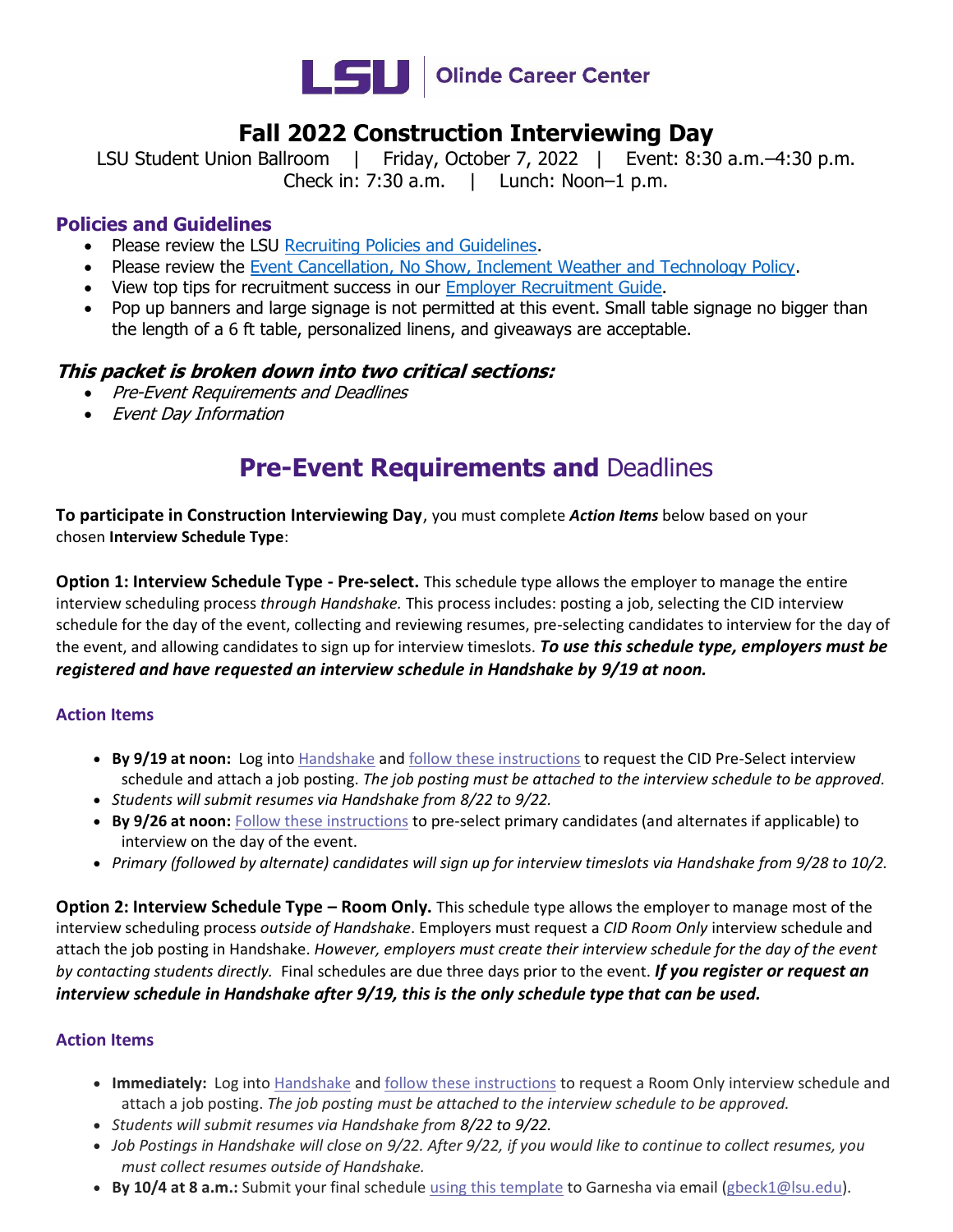

## **Fall 2022 Construction Interviewing Day**

LSU Student Union Ballroom | Friday, October 7, 2022 | Event: 8:30 a.m.-4:30 p.m. Check in: 7:30 a.m. | Lunch: Noon–1 p.m.

#### **Policies and Guidelines**

- Please review the LSU [Recruiting Policies and Guidelines.](https://www.lsu.edu/careercenter/employers/policies.php)
- Please review the [Event Cancellation, No Show, Inclement Weather and Technology Policy.](https://www.lsu.edu/careercenter/files/career_event_cancellation_policy_amw.pdf)
- View top tips for recruitment success in our [Employer Recruitment Guide.](https://www.lsu.edu/careercenter/files/2021-22recruitmentguide_mw.pdf)
- Pop up banners and large signage is not permitted at this event. Small table signage no bigger than the length of a 6 ft table, personalized linens, and giveaways are acceptable.

#### **This packet is broken down into two critical sections:**

- Pre-Event Requirements and Deadlines
- Event Day Information

# **Pre-Event Requirements and Deadlines**

**To participate in Construction Interviewing Day**, you must complete *Action Items* below based on your chosen **Interview Schedule Type**:

**Option 1: Interview Schedule Type - Pre-select.** This schedule type allows the employer to manage the entire interview scheduling process *through Handshake.* This process includes: posting a job, selecting the CID interview schedule for the day of the event, collecting and reviewing resumes, pre-selecting candidates to interview for the day of the event, and allowing candidates to sign up for interview timeslots. *To use this schedule type, employers must be registered and have requested an interview schedule in Handshake by 9/19 at noon.*

#### **Action Items**

- **By 9/19 at noon:** Log into [Handshake](https://lsu.joinhandshake.com/) and [follow these instructions](https://support.joinhandshake.com/hc/en-us/articles/225537148-How-to-Post-an-Interview-Schedule-to-a-School) to request the CID Pre-Select interview schedule and attach a job posting. *The job posting must be attached to the interview schedule to be approved.*
- *Students will submit resumes via Handshake from 8/22 to 9/22.*
- **By 9/26 at noon:** [Follow these instructions](https://support.joinhandshake.com/hc/en-us/articles/219133027-Managing-Interview-Schedule-Applicants) to pre-select primary candidates (and alternates if applicable) to interview on the day of the event.
- *Primary (followed by alternate) candidates will sign up for interview timeslots via Handshake from 9/28 to 10/2.*

**Option 2: Interview Schedule Type – Room Only.** This schedule type allows the employer to manage most of the interview scheduling process *outside of Handshake*. Employers must request a *CID Room Only* interview schedule and attach the job posting in Handshake. *However, employers must create their interview schedule for the day of the event by contacting students directly.* Final schedules are due three days prior to the event. *If you register or request an interview schedule in Handshake after 9/19, this is the only schedule type that can be used.*

#### **Action Items**

- **Immediately:** Log into [Handshake](https://lsu.joinhandshake.com/) and [follow these instructions](https://support.joinhandshake.com/hc/en-us/articles/225537148-How-to-Post-an-Interview-Schedule-to-a-School) to request a Room Only interview schedule and attach a job posting. *The job posting must be attached to the interview schedule to be approved.*
- *Students will submit resumes via Handshake from 8/22 to 9/22.*
- *Job Postings in Handshake will close on 9/22. After 9/22, if you would like to continue to collect resumes, you must collect resumes outside of Handshake.*
- **By 10/4 at 8 a.m.:** Submit your final schedule [using this template](https://www.lsu.edu/careercenter/files/lsu_interview_schedule_template.pdf) to Garnesha via email [\(gbeck1@lsu.edu\)](mailto:gbeck1@lsu.edu).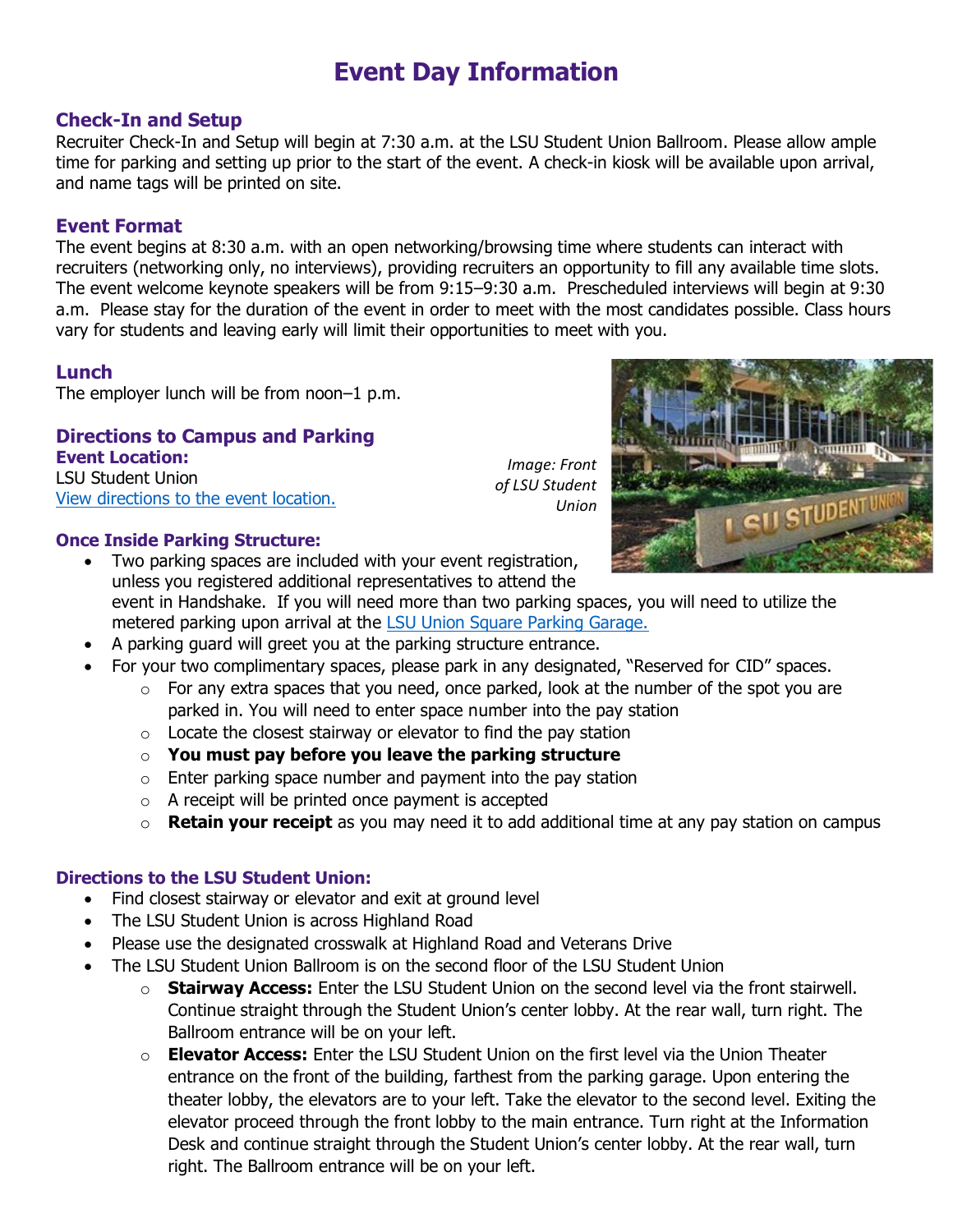# **Event Day Information**

#### **Check-In and Setup**

Recruiter Check-In and Setup will begin at 7:30 a.m. at the LSU Student Union Ballroom. Please allow ample time for parking and setting up prior to the start of the event. A check-in kiosk will be available upon arrival, and name tags will be printed on site.

#### **Event Format**

The event begins at 8:30 a.m. with an open networking/browsing time where students can interact with recruiters (networking only, no interviews), providing recruiters an opportunity to fill any available time slots. The event welcome keynote speakers will be from 9:15–9:30 a.m. Prescheduled interviews will begin at 9:30 a.m. Please stay for the duration of the event in order to meet with the most candidates possible. Class hours vary for students and leaving early will limit their opportunities to meet with you.

### **Lunch**

The employer lunch will be from noon–1 p.m.

### **Directions to Campus and Parking**

**Event Location:**  LSU Student Union [View directions to the event location.](https://www.lsu.edu/careercenter/employers/travel/directions.php)

#### **Once Inside Parking Structure:**

Two parking spaces are included with your event registration, unless you registered additional representatives to attend the event in Handshake. If you will need more than two parking spaces, you will need to utilize the metered parking upon arrival at the [LSU Union Square Parking Garage.](https://www.lsu.edu/parking/resources/usgarage.php)

- A parking guard will greet you at the parking structure entrance.
- For your two complimentary spaces, please park in any designated, "Reserved for CID" spaces.
	- $\circ$  For any extra spaces that you need, once parked, look at the number of the spot you are parked in. You will need to enter space number into the pay station

*Image: Front of LSU Student* 

*Union*

- $\circ$  Locate the closest stairway or elevator to find the pay station
- o **You must pay before you leave the parking structure**
- $\circ$  Enter parking space number and payment into the pay station
- $\circ$  A receipt will be printed once payment is accepted
- o **Retain your receipt** as you may need it to add additional time at any pay station on campus

#### **Directions to the LSU Student Union:**

- Find closest stairway or elevator and exit at ground level
- The LSU Student Union is across Highland Road
- Please use the designated crosswalk at Highland Road and Veterans Drive
- The LSU Student Union Ballroom is on the second floor of the LSU Student Union
	- o **Stairway Access:** Enter the LSU Student Union on the second level via the front stairwell. Continue straight through the Student Union's center lobby. At the rear wall, turn right. The Ballroom entrance will be on your left.
	- o **Elevator Access:** Enter the LSU Student Union on the first level via the Union Theater entrance on the front of the building, farthest from the parking garage. Upon entering the theater lobby, the elevators are to your left. Take the elevator to the second level. Exiting the elevator proceed through the front lobby to the main entrance. Turn right at the Information Desk and continue straight through the Student Union's center lobby. At the rear wall, turn right. The Ballroom entrance will be on your left.